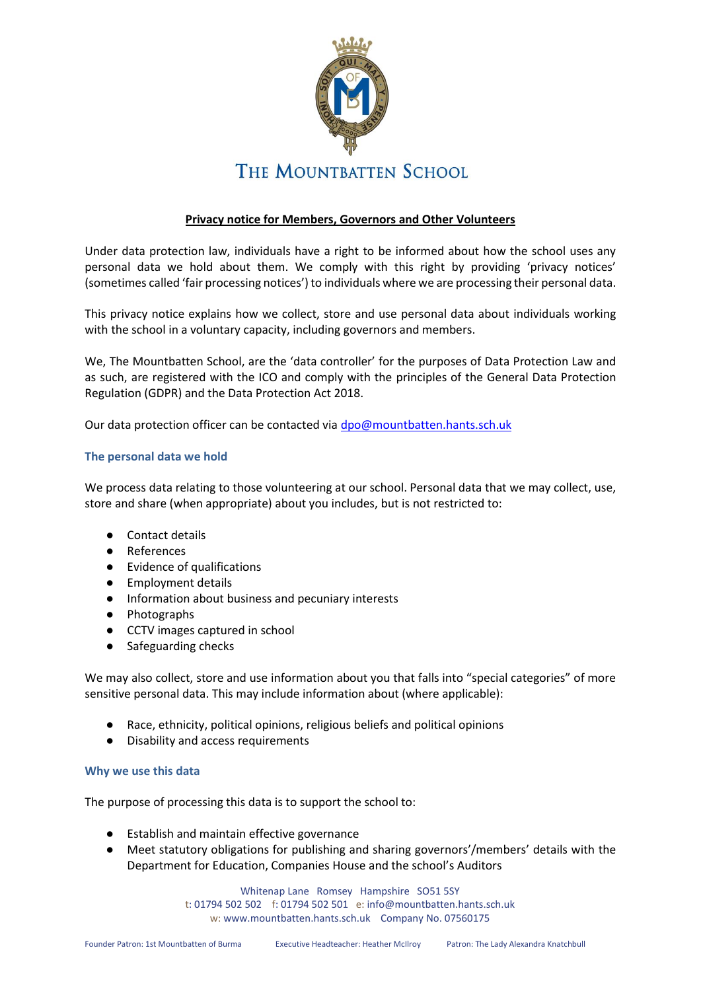

# **Privacy notice for Members, Governors and Other Volunteers**

Under data protection law, individuals have a right to be informed about how the school uses any personal data we hold about them. We comply with this right by providing 'privacy notices' (sometimes called 'fair processing notices') to individuals where we are processing their personal data.

This privacy notice explains how we collect, store and use personal data about individuals working with the school in a voluntary capacity, including governors and members.

We, The Mountbatten School, are the 'data controller' for the purposes of Data Protection Law and as such, are registered with the ICO and comply with the principles of the General Data Protection Regulation (GDPR) and the Data Protection Act 2018.

Our data protection officer can be contacted via [dpo@mountbatten.hants.sch.uk](mailto:dpo@mountbatten.hants.sch.uk)

## **The personal data we hold**

We process data relating to those volunteering at our school. Personal data that we may collect, use, store and share (when appropriate) about you includes, but is not restricted to:

- Contact details
- References
- Evidence of qualifications
- Employment details
- Information about business and pecuniary interests
- Photographs
- CCTV images captured in school
- Safeguarding checks

We may also collect, store and use information about you that falls into "special categories" of more sensitive personal data. This may include information about (where applicable):

- Race, ethnicity, political opinions, religious beliefs and political opinions
- Disability and access requirements

## **Why we use this data**

The purpose of processing this data is to support the school to:

- Establish and maintain effective governance
- Meet statutory obligations for publishing and sharing governors'/members' details with the Department for Education, Companies House and the school's Auditors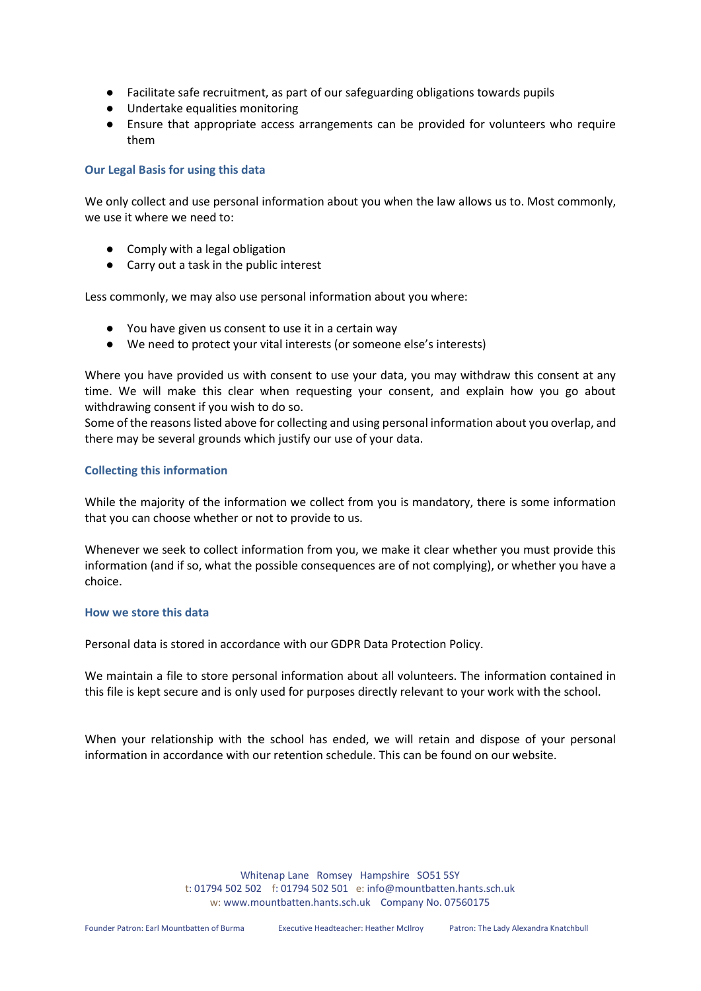- Facilitate safe recruitment, as part of our safeguarding obligations towards pupils
- Undertake equalities monitoring
- Ensure that appropriate access arrangements can be provided for volunteers who require them

## **Our Legal Basis for using this data**

We only collect and use personal information about you when the law allows us to. Most commonly, we use it where we need to:

- Comply with a legal obligation
- Carry out a task in the public interest

Less commonly, we may also use personal information about you where:

- You have given us consent to use it in a certain way
- We need to protect your vital interests (or someone else's interests)

Where you have provided us with consent to use your data, you may withdraw this consent at any time. We will make this clear when requesting your consent, and explain how you go about withdrawing consent if you wish to do so.

Some of the reasons listed above for collecting and using personal information about you overlap, and there may be several grounds which justify our use of your data.

## **Collecting this information**

While the majority of the information we collect from you is mandatory, there is some information that you can choose whether or not to provide to us.

Whenever we seek to collect information from you, we make it clear whether you must provide this information (and if so, what the possible consequences are of not complying), or whether you have a choice.

## **How we store this data**

Personal data is stored in accordance with our GDPR Data Protection Policy.

We maintain a file to store personal information about all volunteers. The information contained in this file is kept secure and is only used for purposes directly relevant to your work with the school.

When your relationship with the school has ended, we will retain and dispose of your personal information in accordance with our retention schedule. This can be found on our website.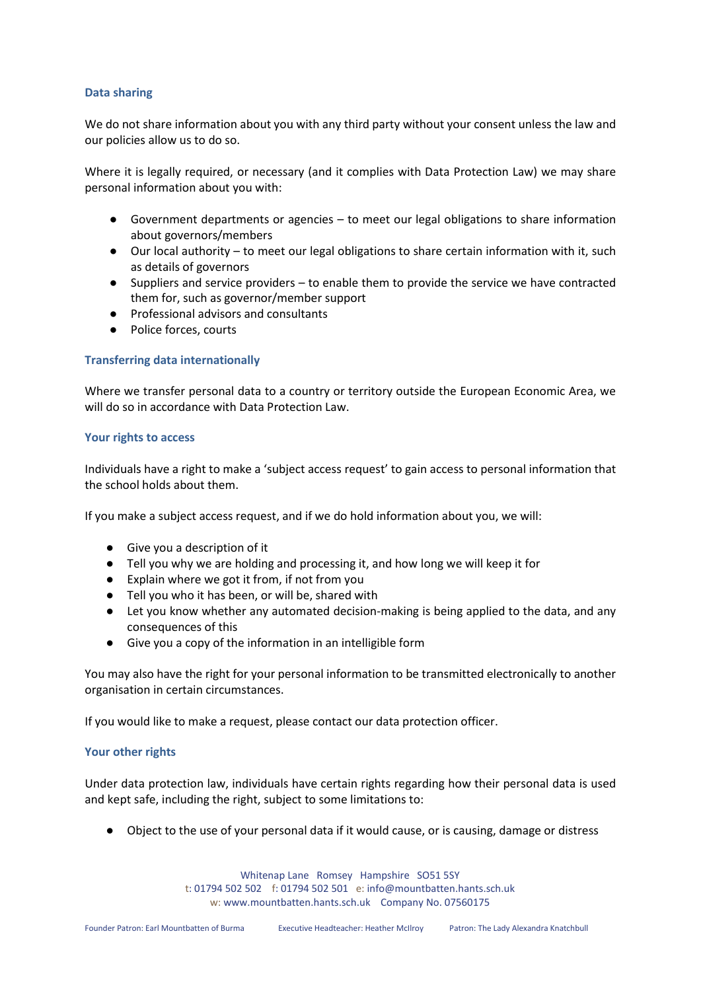#### **Data sharing**

We do not share information about you with any third party without your consent unless the law and our policies allow us to do so.

Where it is legally required, or necessary (and it complies with Data Protection Law) we may share personal information about you with:

- Government departments or agencies to meet our legal obligations to share information about governors/members
- Our local authority to meet our legal obligations to share certain information with it, such as details of governors
- Suppliers and service providers to enable them to provide the service we have contracted them for, such as governor/member support
- Professional advisors and consultants
- Police forces, courts

## **Transferring data internationally**

Where we transfer personal data to a country or territory outside the European Economic Area, we will do so in accordance with Data Protection Law.

## **Your rights to access**

Individuals have a right to make a 'subject access request' to gain access to personal information that the school holds about them.

If you make a subject access request, and if we do hold information about you, we will:

- Give you a description of it
- Tell you why we are holding and processing it, and how long we will keep it for
- Explain where we got it from, if not from you
- Tell you who it has been, or will be, shared with
- Let you know whether any automated decision-making is being applied to the data, and any consequences of this
- Give you a copy of the information in an intelligible form

You may also have the right for your personal information to be transmitted electronically to another organisation in certain circumstances.

If you would like to make a request, please contact our data protection officer.

## **Your other rights**

Under data protection law, individuals have certain rights regarding how their personal data is used and kept safe, including the right, subject to some limitations to:

● Object to the use of your personal data if it would cause, or is causing, damage or distress